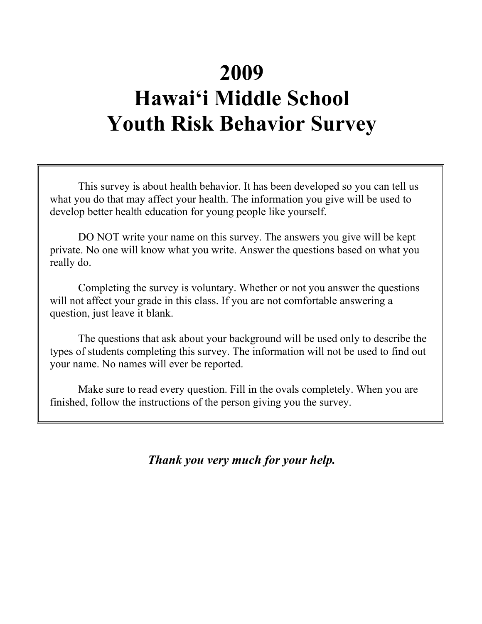# **2009 Hawai'i Middle School Youth Risk Behavior Survey**

This survey is about health behavior. It has been developed so you can tell us what you do that may affect your health. The information you give will be used to develop better health education for young people like yourself.

DO NOT write your name on this survey. The answers you give will be kept private. No one will know what you write. Answer the questions based on what you really do.

Completing the survey is voluntary. Whether or not you answer the questions will not affect your grade in this class. If you are not comfortable answering a question, just leave it blank.

The questions that ask about your background will be used only to describe the types of students completing this survey. The information will not be used to find out your name. No names will ever be reported.

Make sure to read every question. Fill in the ovals completely. When you are finished, follow the instructions of the person giving you the survey.

*Thank you very much for your help.*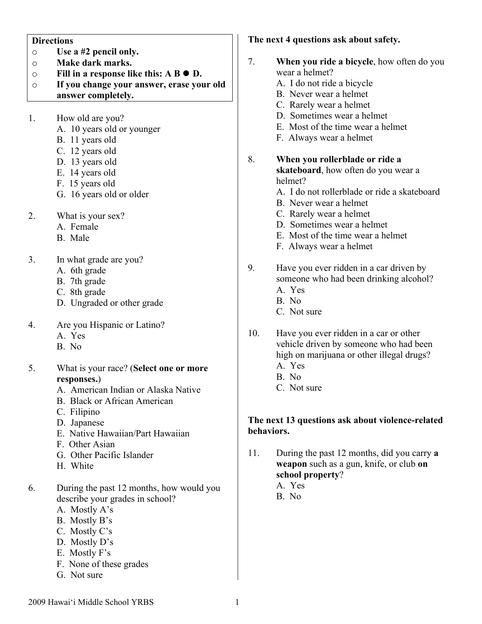#### **Directions**

- o **Use a #2 pencil only.**
- o **Make dark marks.**
- o **Fill in a response like this: A B D.**
- o **If you change your answer, erase your old answer completely.**
- 1. How old are you?
	- A. 10 years old or younger
	- B. 11 years old
	- C. 12 years old
	- D. 13 years old
	- E. 14 years old
	- F. 15 years old
	- G. 16 years old or older
- 2. What is your sex?
	- A. Female
	- B. Male
- 3. In what grade are you?
	- A. 6th grade
	- B. 7th grade
	- C. 8th grade
	- D. Ungraded or other grade
- 4. Are you Hispanic or Latino?
	- A. Yes
	- B. No
- 5. What is your race? (**Select one or more responses.**)
	- A. American Indian or Alaska Native
	- B. Black or African American
	- C. Filipino
	- D. Japanese
	- E. Native Hawaiian/Part Hawaiian
	- F. Other Asian
	- G. Other Pacific Islander
	- H. White
- 6. During the past 12 months, how would you describe your grades in school?
	- A. Mostly A's
	- B. Mostly B's
	- C. Mostly C's
	- D. Mostly D's
	- E. Mostly F's
	- F. None of these grades
	- G. Not sure

### **The next 4 questions ask about safety.**

- 7. **When you ride a bicycle**, how often do you wear a helmet? A. I do not ride a bicycle B. Never wear a helmet C. Rarely wear a helmet D. Sometimes wear a helmet E. Most of the time wear a helmet F. Always wear a helmet 8. **When you rollerblade or ride a skateboard**, how often do you wear a helmet? A. I do not rollerblade or ride a skateboard B. Never wear a helmet C. Rarely wear a helmet D. Sometimes wear a helmet E. Most of the time wear a helmet F. Always wear a helmet 9. Have you ever ridden in a car driven by someone who had been drinking alcohol? A. Yes B. No C. Not sure 10. Have you ever ridden in a car or other vehicle driven by someone who had been high on marijuana or other illegal drugs? A. Yes B. No C. Not sure **The next 13 questions ask about violence-related behaviors.** 11. During the past 12 months, did you carry **a weapon** such as a gun, knife, or club **on school property**? A. Yes
	- B. No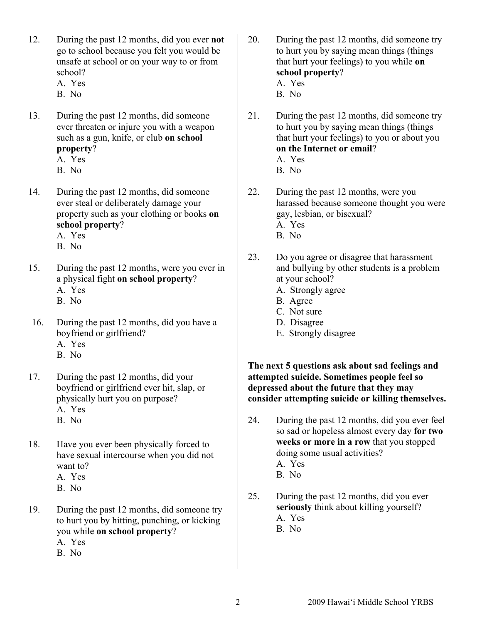- 12. During the past 12 months, did you ever **not** go to school because you felt you would be unsafe at school or on your way to or from school?
	- A. Yes
	- B. No
- 13. During the past 12 months, did someone ever threaten or injure you with a weapon such as a gun, knife, or club **on school property**?
	- A. Yes
	- B. No
- 14. During the past 12 months, did someone ever steal or deliberately damage your property such as your clothing or books **on school property**?
	- A. Yes
	- B. No

15. During the past 12 months, were you ever in a physical fight **on school property**? A. Yes

- B. No
- 16. During the past 12 months, did you have a boyfriend or girlfriend? A. Yes
	-
	- B. No
- 17. During the past 12 months, did your boyfriend or girlfriend ever hit, slap, or physically hurt you on purpose? A. Yes B. No
- 18. Have you ever been physically forced to have sexual intercourse when you did not want to?
	- A. Yes
	- B. No
- 19. During the past 12 months, did someone try to hurt you by hitting, punching, or kicking you while **on school property**? A. Yes
	- B. No
- 20. During the past 12 months, did someone try to hurt you by saying mean things (things that hurt your feelings) to you while **on school property**? A. Yes B. No
	-
- 21. During the past 12 months, did someone try to hurt you by saying mean things (things that hurt your feelings) to you or about you **on the Internet or email**?
	- A. Yes
	- B. No
- 22. During the past 12 months, were you harassed because someone thought you were gay, lesbian, or bisexual? A. Yes
	- B. No
- 23. Do you agree or disagree that harassment and bullying by other students is a problem at your school?
	- A. Strongly agree
	- B. Agree
	- C. Not sure
	- D. Disagree
	- E. Strongly disagree

## **The next 5 questions ask about sad feelings and attempted suicide. Sometimes people feel so depressed about the future that they may consider attempting suicide or killing themselves.**

- 24. During the past 12 months, did you ever feel so sad or hopeless almost every day **for two weeks or more in a row** that you stopped doing some usual activities? A. Yes B. No
- 25. During the past 12 months, did you ever **seriously** think about killing yourself? A. Yes B. No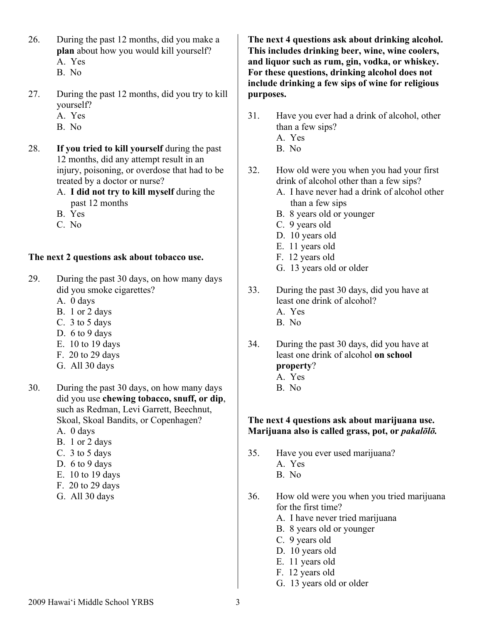- 26. During the past 12 months, did you make a **plan** about how you would kill yourself? A. Yes
	- B. No
- 27. During the past 12 months, did you try to kill yourself?
	- A. Yes
	- B. No
- 28. **If you tried to kill yourself** during the past 12 months, did any attempt result in an injury, poisoning, or overdose that had to be treated by a doctor or nurse?
	- A. **I did not try to kill myself** during the past 12 months
	- B. Yes
	- C. No

## **The next 2 questions ask about tobacco use.**

- 29. During the past 30 days, on how many days did you smoke cigarettes?
	- A. 0 days
	- B. 1 or 2 days
	- C. 3 to 5 days
	- D. 6 to 9 days
	- E. 10 to 19 days
	- F. 20 to 29 days
	- G. All 30 days
- 30. During the past 30 days, on how many days did you use **chewing tobacco, snuff, or dip**, such as Redman, Levi Garrett, Beechnut, Skoal, Skoal Bandits, or Copenhagen?
	- A. 0 days
	- B. 1 or 2 days
	- C. 3 to 5 days
	- D. 6 to 9 days
	- E. 10 to 19 days
	- F. 20 to 29 days
	- G. All 30 days

**The next 4 questions ask about drinking alcohol. This includes drinking beer, wine, wine coolers, and liquor such as rum, gin, vodka, or whiskey. For these questions, drinking alcohol does not include drinking a few sips of wine for religious purposes.**

- 31. Have you ever had a drink of alcohol, other than a few sips? A. Yes
	- B. No
- 32. How old were you when you had your first drink of alcohol other than a few sips?
	- A. I have never had a drink of alcohol other than a few sips
	- B. 8 years old or younger
	- C. 9 years old
	- D. 10 years old
	- E. 11 years old
	- F. 12 years old
	- G. 13 years old or older
- 33. During the past 30 days, did you have at least one drink of alcohol?
	- A. Yes
	- B. No
- 34. During the past 30 days, did you have at least one drink of alcohol **on school property**?
	- A. Yes
	- B. No

## **The next 4 questions ask about marijuana use. Marijuana also is called grass, pot, or** *pakalōlō.*

- 35. Have you ever used marijuana? A. Yes
	- B. No
- 36. How old were you when you tried marijuana for the first time?
	- A. I have never tried marijuana
	- B. 8 years old or younger
	- C. 9 years old
	- D. 10 years old
	- E. 11 years old
	- F. 12 years old
	- G. 13 years old or older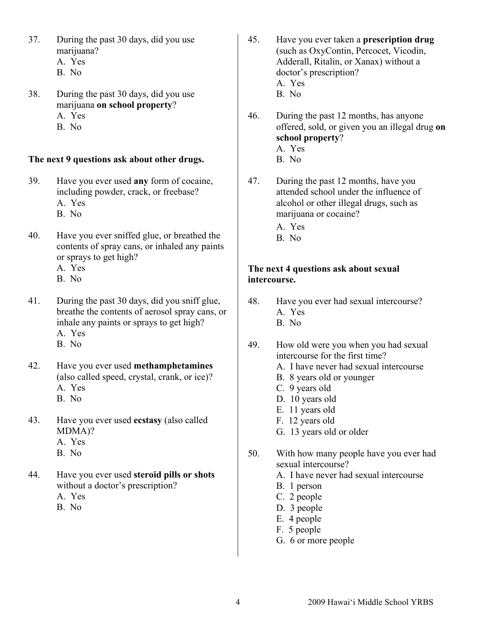- 37. During the past 30 days, did you use marijuana? A. Yes
	- B. No
- 38. During the past 30 days, did you use marijuana **on school property**? A. Yes
	- B. No
- **The next 9 questions ask about other drugs.**
- 39. Have you ever used **any** form of cocaine, including powder, crack, or freebase? A. Yes
	- B. No
- 40. Have you ever sniffed glue, or breathed the contents of spray cans, or inhaled any paints or sprays to get high?
	- A. Yes
	- B. No
- 41. During the past 30 days, did you sniff glue, breathe the contents of aerosol spray cans, or inhale any paints or sprays to get high? A. Yes
	- B. No
- 42. Have you ever used **methamphetamines** (also called speed, crystal, crank, or ice)? A. Yes
	- B. No
- 43. Have you ever used **ecstasy** (also called MDMA)?
	- A. Yes
	- B. No
- 44. Have you ever used **steroid pills or shots** without a doctor's prescription?
	- A. Yes
	- B. No
- 45. Have you ever taken a **prescription drug** (such as OxyContin, Percocet, Vicodin, Adderall, Ritalin, or Xanax) without a doctor's prescription? A. Yes B. No
- 46. During the past 12 months, has anyone offered, sold, or given you an illegal drug **on school property**? A. Yes B. No
- 47. During the past 12 months, have you attended school under the influence of alcohol or other illegal drugs, such as marijuana or cocaine?
	- A. Yes
	- B. No

## **The next 4 questions ask about sexual intercourse.**

- 48. Have you ever had sexual intercourse? A. Yes
	- B. No
- 49. How old were you when you had sexual intercourse for the first time?
	- A. I have never had sexual intercourse
	- B. 8 years old or younger
	- C. 9 years old
	- D. 10 years old
	- E. 11 years old
	- F. 12 years old
	- G. 13 years old or older
- 50. With how many people have you ever had sexual intercourse?
	- A. I have never had sexual intercourse
	- B. 1 person
	- C. 2 people
	- D. 3 people
	- E. 4 people
	- F. 5 people
	- G. 6 or more people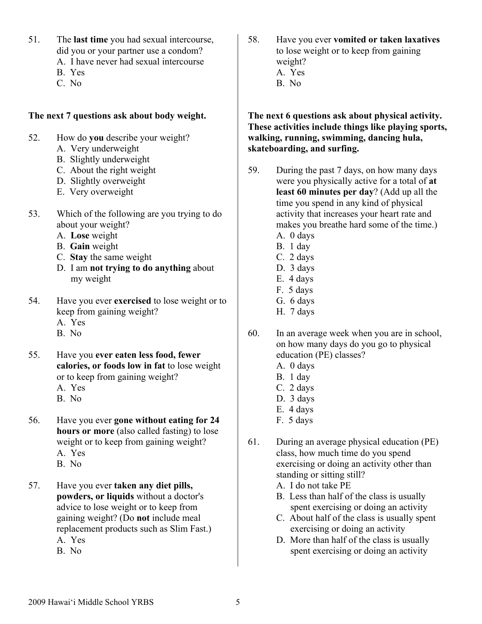- 51. The **last time** you had sexual intercourse, did you or your partner use a condom?
	- A. I have never had sexual intercourse
	- B. Yes
	- C. No

### **The next 7 questions ask about body weight.**

- 52. How do **you** describe your weight?
	- A. Very underweight
	- B. Slightly underweight
	- C. About the right weight
	- D. Slightly overweight
	- E. Very overweight
- 53. Which of the following are you trying to do about your weight?
	- A. **Lose** weight
	- B. **Gain** weight
	- C. **Stay** the same weight
	- D. I am **not trying to do anything** about my weight
- 54. Have you ever **exercised** to lose weight or to keep from gaining weight?
	- A. Yes
	- B. No
- 55. Have you **ever eaten less food, fewer calories, or foods low in fat** to lose weight or to keep from gaining weight?
	- A. Yes
	- B. No
- 56. Have you ever **gone without eating for 24 hours or more** (also called fasting) to lose weight or to keep from gaining weight?
	- A. Yes
	- B. No
- 57. Have you ever **taken any diet pills, powders, or liquids** without a doctor's advice to lose weight or to keep from gaining weight? (Do **not** include meal replacement products such as Slim Fast.) A. Yes
	- B. No

58. Have you ever **vomited or taken laxatives** to lose weight or to keep from gaining weight? A. Yes B. No

### **The next 6 questions ask about physical activity. These activities include things like playing sports, walking, running, swimming, dancing hula, skateboarding, and surfing.**

- 59. During the past 7 days, on how many days were you physically active for a total of **at least 60 minutes per day**? (Add up all the time you spend in any kind of physical activity that increases your heart rate and makes you breathe hard some of the time.)
	- A. 0 days
	- B. 1 day
	- C. 2 days
	- D. 3 days
	- E. 4 days
	- F. 5 days
	- G. 6 days
	- H. 7 days
- 60. In an average week when you are in school, on how many days do you go to physical education (PE) classes?
	- A. 0 days
	- B. 1 day
	- C. 2 days
	- D. 3 days
	- E. 4 days
	- F. 5 days
- 61. During an average physical education (PE) class, how much time do you spend exercising or doing an activity other than standing or sitting still?
	- A. I do not take PE
	- B. Less than half of the class is usually spent exercising or doing an activity
	- C. About half of the class is usually spent exercising or doing an activity
	- D. More than half of the class is usually spent exercising or doing an activity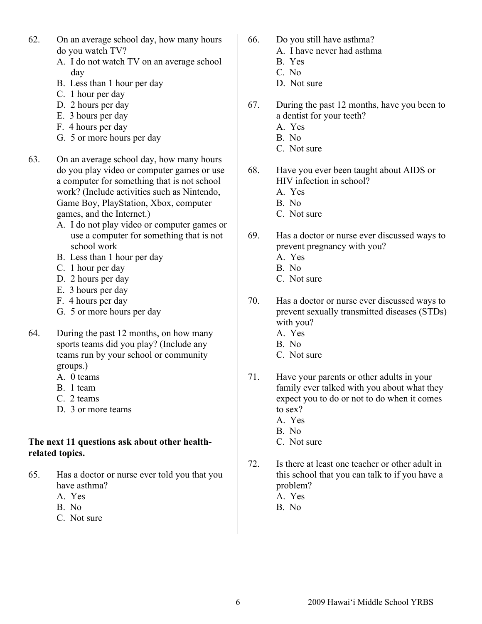- 62. On an average school day, how many hours do you watch TV?
	- A. I do not watch TV on an average school day
	- B. Less than 1 hour per day
	- C. 1 hour per day
	- D. 2 hours per day
	- E. 3 hours per day
	- F. 4 hours per day
	- G. 5 or more hours per day
- 63. On an average school day, how many hours do you play video or computer games or use a computer for something that is not school work? (Include activities such as Nintendo, Game Boy, PlayStation, Xbox, computer games, and the Internet.)
	- A. I do not play video or computer games or use a computer for something that is not school work
	- B. Less than 1 hour per day
	- C. 1 hour per day
	- D. 2 hours per day
	- E. 3 hours per day
	- F. 4 hours per day
	- G. 5 or more hours per day
- 64. During the past 12 months, on how many sports teams did you play? (Include any teams run by your school or community groups.)
	- A. 0 teams
	- B. 1 team
	- C. 2 teams
	- D. 3 or more teams

## **The next 11 questions ask about other healthrelated topics.**

- 65. Has a doctor or nurse ever told you that you have asthma?
	- A. Yes
	- B. No
	- C. Not sure
- 66. Do you still have asthma?
	- A. I have never had asthma
		- B. Yes
		- C. No
		- D. Not sure
- 67. During the past 12 months, have you been to a dentist for your teeth?
	- A. Yes
	- B. No
	- C. Not sure
- 68. Have you ever been taught about AIDS or HIV infection in school?
	- A. Yes
	- B. No
	- C. Not sure
- 69. Has a doctor or nurse ever discussed ways to prevent pregnancy with you?
	- A. Yes
	- B. No
	- C. Not sure
- 70. Has a doctor or nurse ever discussed ways to prevent sexually transmitted diseases (STDs) with you? A. Yes
	- B. No
	- C. Not sure
- 71. Have your parents or other adults in your family ever talked with you about what they expect you to do or not to do when it comes to sex?
	- A. Yes
	- B. No
	- C. Not sure
- 72. Is there at least one teacher or other adult in this school that you can talk to if you have a problem?
	- A. Yes
	- B. No